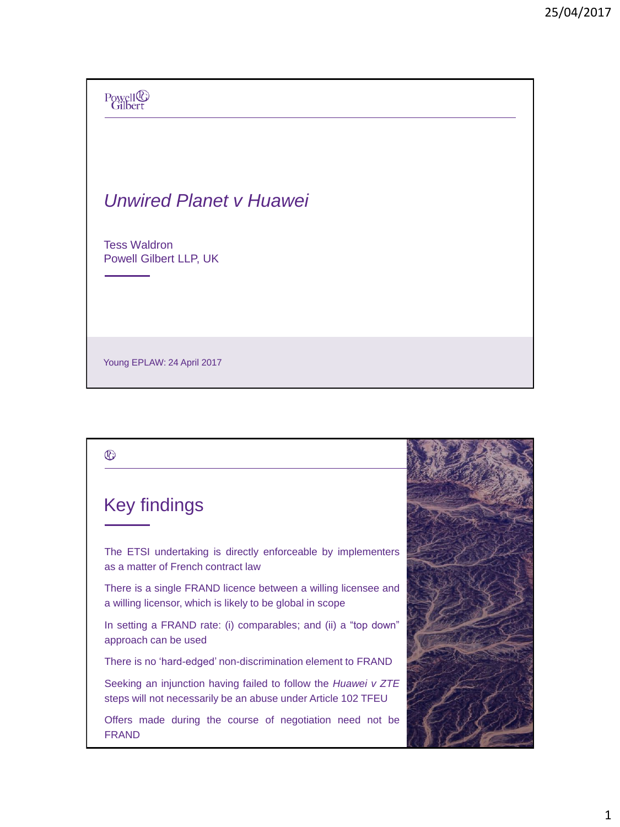# Powell<sup>®</sup><br>Gilbert *Unwired Planet v Huawei*  Tess Waldron Powell Gilbert LLP, UK

Young EPLAW: 24 April 2017

## $^{\circledR}$ UK approach to FRAND Key findings The ETSI undertaking is directly enforceable by implementers as a matter of French contract law There is a single FRAND licence between a willing licensee and a willing licensor, which is likely to be global in scope In setting a FRAND rate: (i) comparables; and (ii) a "top down" approach can be used There is no 'hard-edged' non-discrimination element to FRAND Seeking an injunction having failed to follow the *Huawei v ZTE* steps will not necessarily be an abuse under Article 102 TFEU Offers made during the course of negotiation need not be FRAND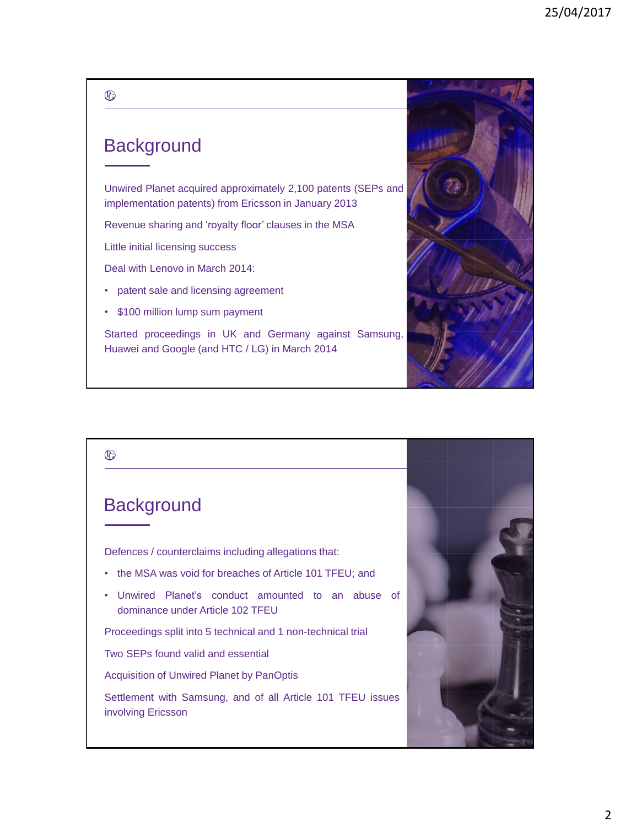#### **Background**

Unwired Planet acquired approximately 2,100 patents (SEPs and implementation patents) from Ericsson in January 2013

Revenue sharing and 'royalty floor' clauses in the MSA

Little initial licensing success

Deal with Lenovo in March 2014:

- patent sale and licensing agreement
- \$100 million lump sum payment

Started proceedings in UK and Germany against Samsung, Huawei and Google (and HTC / LG) in March 2014



## $^{\circledR}$ **Background** Defences / counterclaims including allegations that: • the MSA was void for breaches of Article 101 TFEU; and • Unwired Planet's conduct amounted to an abuse of dominance under Article 102 TFEU Proceedings split into 5 technical and 1 non-technical trial Two SEPs found valid and essential Acquisition of Unwired Planet by PanOptis Settlement with Samsung, and of all Article 101 TFEU issues involving Ericsson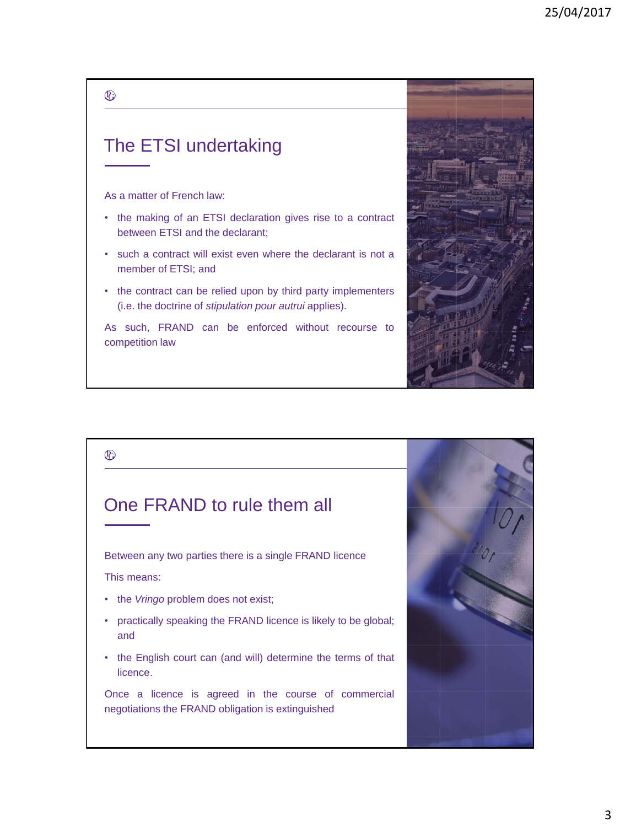## The ETSI undertaking

#### As a matter of French law:

 $^{\circledR}$ 

- the making of an ETSI declaration gives rise to a contract between ETSI and the declarant;
- such a contract will exist even where the declarant is not a member of ETSI; and
- the contract can be relied upon by third party implementers (i.e. the doctrine of *stipulation pour autrui* applies).

As such, FRAND can be enforced without recourse to competition law

## $^{\circledR}$

#### One FRAND to rule them all

Between any two parties there is a single FRAND licence

This means:

- the *Vringo* problem does not exist;
- practically speaking the FRAND licence is likely to be global; and
- the English court can (and will) determine the terms of that licence.

Once a licence is agreed in the course of commercial negotiations the FRAND obligation is extinguished



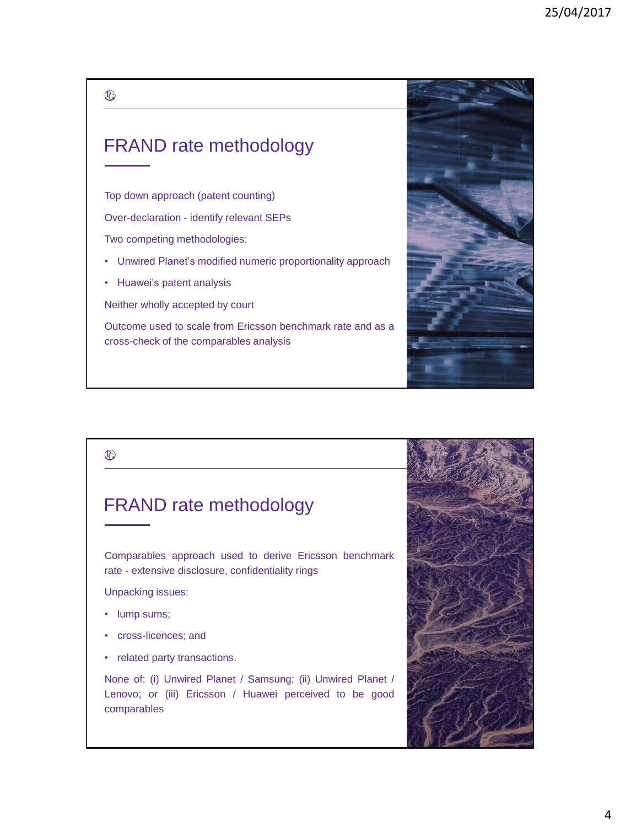## FRAND rate methodology

Top down approach (patent counting)

Over-declaration - identify relevant SEPs

Two competing methodologies:

• Unwired Planet's modified numeric proportionality approach

• Huawei's patent analysis

Neither wholly accepted by court

Outcome used to scale from Ericsson benchmark rate and as a cross-check of the comparables analysis



#### FRAND rate methodology

Comparables approach used to derive Ericsson benchmark rate - extensive disclosure, confidentiality rings

Unpacking issues:

- lump sums;
- cross-licences; and
- related party transactions.

None of: (i) Unwired Planet / Samsung; (ii) Unwired Planet / Lenovo; or (iii) Ericsson / Huawei perceived to be good comparables

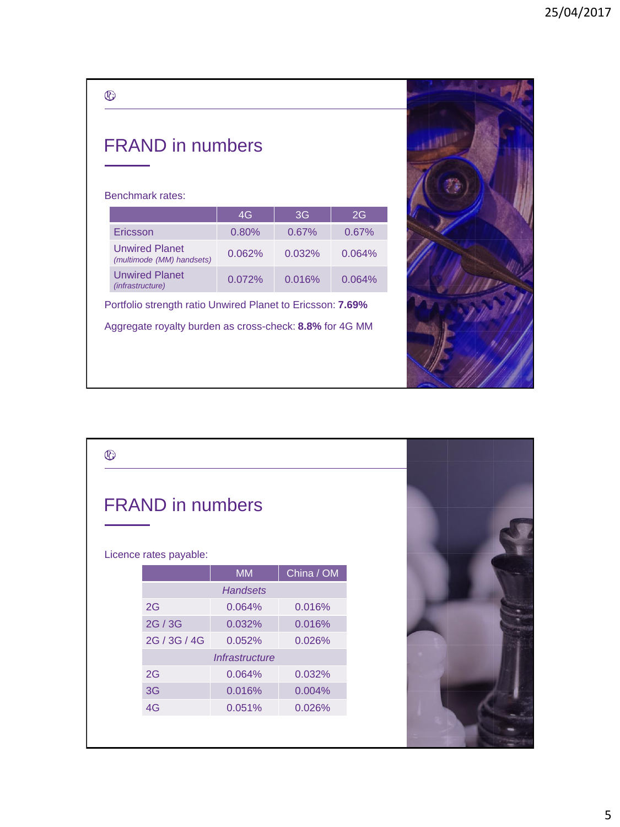|   | I<br>×  |
|---|---------|
|   | w       |
|   |         |
| × | ×<br>۰. |

## FRAND in numbers

#### Benchmark rates:

|                                                    | 4G        | 3G        | 2G        |
|----------------------------------------------------|-----------|-----------|-----------|
| Ericsson                                           | 0.80%     | $0.67\%$  | 0.67%     |
| <b>Unwired Planet</b><br>(multimode (MM) handsets) | $0.062\%$ | $0.032\%$ | $0.064\%$ |
| <b>Unwired Planet</b><br>(infrastructure)          | 0.072%    | 0.016%    | 0.064%    |

Portfolio strength ratio Unwired Planet to Ericsson: **7.69%** Aggregate royalty burden as cross-check: **8.8%** for 4G MM



| $^{\circledR}$                                    |                 |                       |            |  |
|---------------------------------------------------|-----------------|-----------------------|------------|--|
| <b>FRAND</b> in numbers<br>Licence rates payable: |                 |                       |            |  |
|                                                   |                 | <b>MM</b>             | China / OM |  |
|                                                   | <b>Handsets</b> |                       |            |  |
|                                                   | 2G              | 0.064%                | 0.016%     |  |
|                                                   | 2G / 3G         | 0.032%                | 0.016%     |  |
|                                                   | 2G / 3G / 4G    | 0.052%                | 0.026%     |  |
|                                                   |                 | <b>Infrastructure</b> |            |  |
|                                                   | 2G              | 0.064%                | 0.032%     |  |
|                                                   | 3G              | 0.016%                | 0.004%     |  |
|                                                   | 4G              | 0.051%                | 0.026%     |  |
|                                                   |                 |                       |            |  |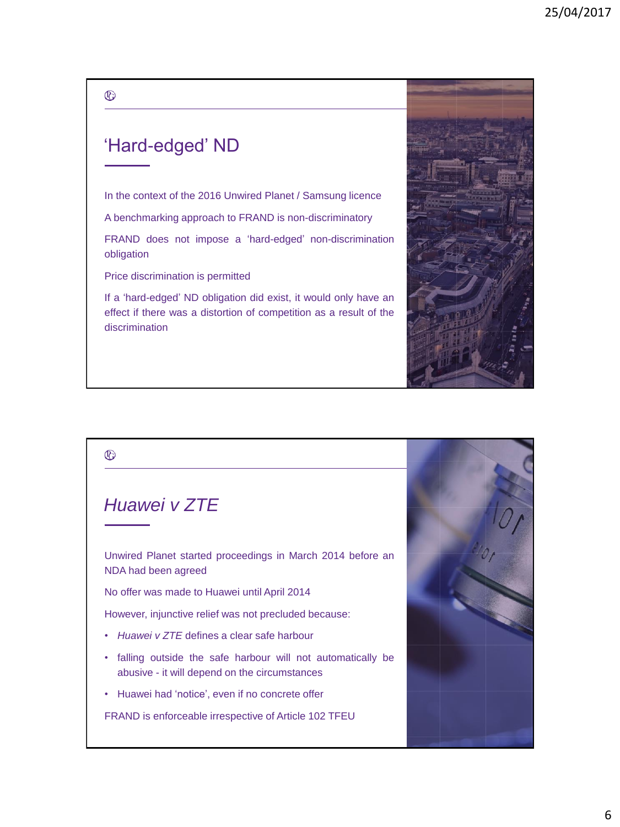## 'Hard-edged' ND

In the context of the 2016 Unwired Planet / Samsung licence

A benchmarking approach to FRAND is non-discriminatory

FRAND does not impose a 'hard-edged' non-discrimination obligation

Price discrimination is permitted

If a 'hard-edged' ND obligation did exist, it would only have an effect if there was a distortion of competition as a result of the discrimination



# $^{\circledR}$ *Huawei v ZTE* Unwired Planet started proceedings in March 2014 before an NDA had been agreed No offer was made to Huawei until April 2014 However, injunctive relief was not precluded because: • *Huawei v ZTE* defines a clear safe harbour • falling outside the safe harbour will not automatically be abusive - it will depend on the circumstances • Huawei had 'notice', even if no concrete offer FRAND is enforceable irrespective of Article 102 TFEU